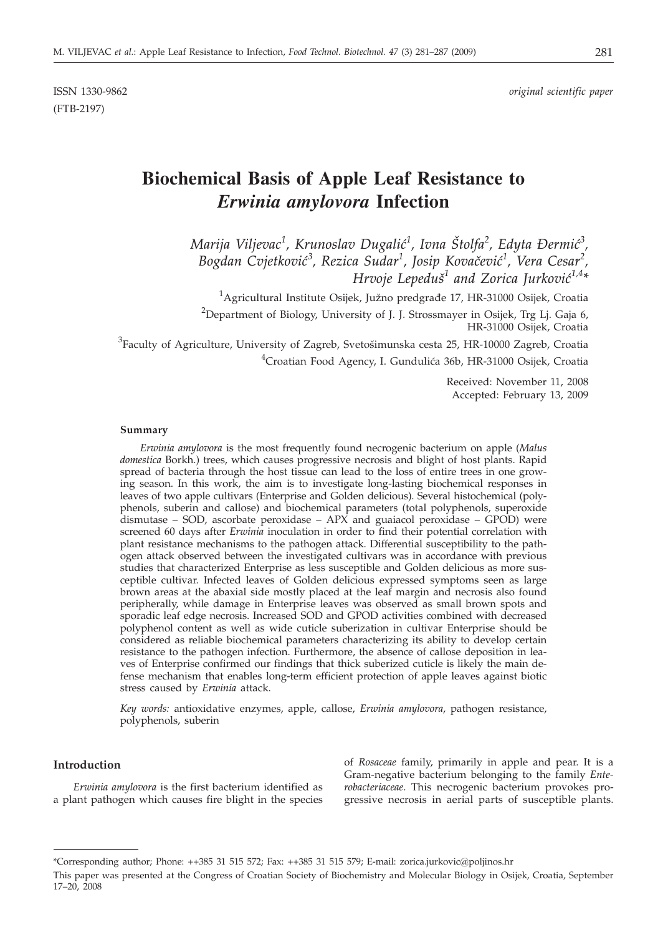(FTB-2197)

# **Biochemical Basis of Apple Leaf Resistance to** *Erwinia amylovora* **Infection**

*Marija Viljevac<sup>1</sup> , Krunoslav Dugali}<sup>1</sup> , Ivna [tolfa<sup>2</sup> , Edyta \ermi}<sup>3</sup> ,*  $B$ ogdan C $v$ jetković $^3$ , Rezica Sudar $^1$ , Josip Kovačević $^1$ , Vera Cesar $^2$ , *Hrvoje Lepeduš<sup>1</sup> and Zorica Jurković*<sup>1,4\*</sup>

<sup>1</sup>Agricultural Institute Osijek, Južno predgrađe 17, HR-31000 Osijek, Croatia

 $^{2}$ Department of Biology, University of J. J. Strossmayer in Osijek, Trg Lj. Gaja 6, HR-31000 Osijek, Croatia

 ${}^{3}$ Faculty of Agriculture, University of Zagreb, Svetošimunska cesta 25, HR-10000 Zagreb, Croatia <sup>4</sup>Croatian Food Agency, I. Gundulića 36b, HR-31000 Osijek, Croatia

> Received: November 11, 2008 Accepted: February 13, 2009

#### **Summary**

*Erwinia amylovora* is the most frequently found necrogenic bacterium on apple (*Malus domestica* Borkh.) trees, which causes progressive necrosis and blight of host plants. Rapid spread of bacteria through the host tissue can lead to the loss of entire trees in one growing season. In this work, the aim is to investigate long-lasting biochemical responses in leaves of two apple cultivars (Enterprise and Golden delicious). Several histochemical (polyphenols, suberin and callose) and biochemical parameters (total polyphenols, superoxide dismutase – SOD, ascorbate peroxidase – APX and guaiacol peroxidase – GPOD) were screened 60 days after *Erwinia* inoculation in order to find their potential correlation with plant resistance mechanisms to the pathogen attack. Differential susceptibility to the pathogen attack observed between the investigated cultivars was in accordance with previous studies that characterized Enterprise as less susceptible and Golden delicious as more susceptible cultivar. Infected leaves of Golden delicious expressed symptoms seen as large brown areas at the abaxial side mostly placed at the leaf margin and necrosis also found peripherally, while damage in Enterprise leaves was observed as small brown spots and sporadic leaf edge necrosis. Increased SOD and GPOD activities combined with decreased polyphenol content as well as wide cuticle suberization in cultivar Enterprise should be considered as reliable biochemical parameters characterizing its ability to develop certain resistance to the pathogen infection. Furthermore, the absence of callose deposition in leaves of Enterprise confirmed our findings that thick suberized cuticle is likely the main defense mechanism that enables long-term efficient protection of apple leaves against biotic stress caused by *Erwinia* attack.

*Key words:* antioxidative enzymes, apple, callose, *Erwinia amylovora*, pathogen resistance, polyphenols, suberin

#### **Introduction**

*Erwinia amylovora* is the first bacterium identified as a plant pathogen which causes fire blight in the species

of *Rosaceae* family, primarily in apple and pear. It is a Gram-negative bacterium belonging to the family *Enterobacteriaceae*. This necrogenic bacterium provokes progressive necrosis in aerial parts of susceptible plants.

<sup>\*</sup>Corresponding author; Phone: ++385 31 515 572; Fax: ++385 31 515 579; E-mail: zorica.jurkovic@poljinos.hr

This paper was presented at the Congress of Croatian Society of Biochemistry and Molecular Biology in Osijek, Croatia, September 17–20, 2008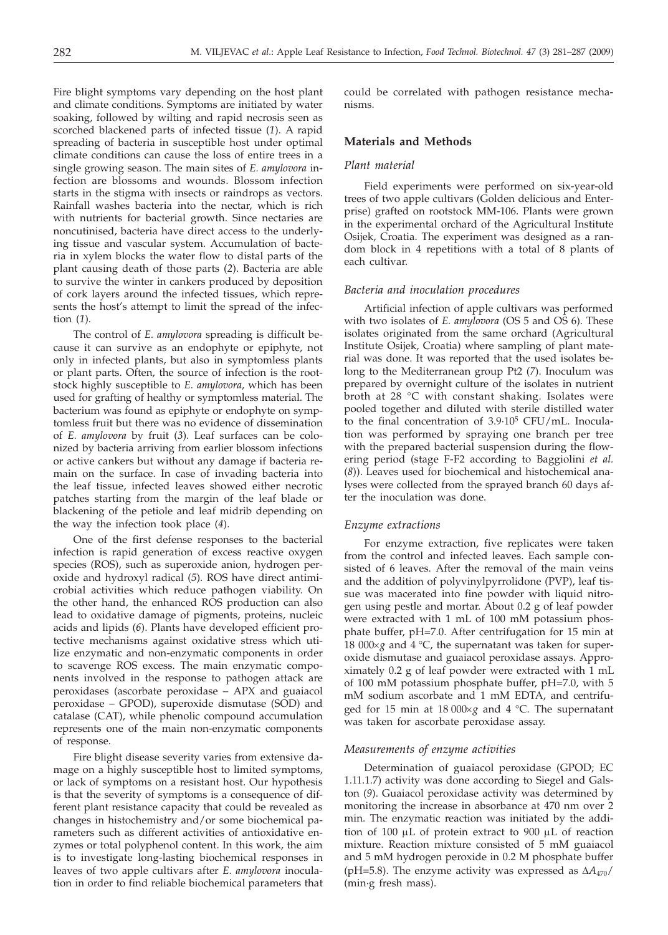Fire blight symptoms vary depending on the host plant and climate conditions. Symptoms are initiated by water soaking, followed by wilting and rapid necrosis seen as scorched blackened parts of infected tissue (*1*). A rapid spreading of bacteria in susceptible host under optimal climate conditions can cause the loss of entire trees in a single growing season. The main sites of *E. amylovora* infection are blossoms and wounds. Blossom infection starts in the stigma with insects or raindrops as vectors. Rainfall washes bacteria into the nectar, which is rich with nutrients for bacterial growth. Since nectaries are noncutinised, bacteria have direct access to the underlying tissue and vascular system. Accumulation of bacteria in xylem blocks the water flow to distal parts of the plant causing death of those parts (*2*). Bacteria are able to survive the winter in cankers produced by deposition of cork layers around the infected tissues, which represents the host's attempt to limit the spread of the infection (*1*).

The control of *E. amylovora* spreading is difficult because it can survive as an endophyte or epiphyte, not only in infected plants, but also in symptomless plants or plant parts. Often, the source of infection is the rootstock highly susceptible to *E. amylovora*, which has been used for grafting of healthy or symptomless material. The bacterium was found as epiphyte or endophyte on symptomless fruit but there was no evidence of dissemination of *E. amylovora* by fruit (*3*). Leaf surfaces can be colonized by bacteria arriving from earlier blossom infections or active cankers but without any damage if bacteria remain on the surface. In case of invading bacteria into the leaf tissue, infected leaves showed either necrotic patches starting from the margin of the leaf blade or blackening of the petiole and leaf midrib depending on the way the infection took place (*4*).

One of the first defense responses to the bacterial infection is rapid generation of excess reactive oxygen species (ROS), such as superoxide anion, hydrogen peroxide and hydroxyl radical (*5*). ROS have direct antimicrobial activities which reduce pathogen viability. On the other hand, the enhanced ROS production can also lead to oxidative damage of pigments, proteins, nucleic acids and lipids (*6*). Plants have developed efficient protective mechanisms against oxidative stress which utilize enzymatic and non-enzymatic components in order to scavenge ROS excess. The main enzymatic components involved in the response to pathogen attack are peroxidases (ascorbate peroxidase – APX and guaiacol peroxidase – GPOD), superoxide dismutase (SOD) and catalase (CAT), while phenolic compound accumulation represents one of the main non-enzymatic components of response.

Fire blight disease severity varies from extensive damage on a highly susceptible host to limited symptoms, or lack of symptoms on a resistant host. Our hypothesis is that the severity of symptoms is a consequence of different plant resistance capacity that could be revealed as changes in histochemistry and/or some biochemical parameters such as different activities of antioxidative enzymes or total polyphenol content. In this work, the aim is to investigate long-lasting biochemical responses in leaves of two apple cultivars after *E. amylovora* inoculation in order to find reliable biochemical parameters that

could be correlated with pathogen resistance mechanisms.

# **Materials and Methods**

# *Plant material*

Field experiments were performed on six-year-old trees of two apple cultivars (Golden delicious and Enterprise) grafted on rootstock MM-106. Plants were grown in the experimental orchard of the Agricultural Institute Osijek, Croatia. The experiment was designed as a random block in 4 repetitions with a total of 8 plants of each cultivar.

## *Bacteria and inoculation procedures*

Artificial infection of apple cultivars was performed with two isolates of *E. amylovora* (OS 5 and OS 6). These isolates originated from the same orchard (Agricultural Institute Osijek, Croatia) where sampling of plant material was done. It was reported that the used isolates belong to the Mediterranean group Pt2 (*7*). Inoculum was prepared by overnight culture of the isolates in nutrient broth at 28 °C with constant shaking. Isolates were pooled together and diluted with sterile distilled water to the final concentration of  $3.9 \cdot 10^5$  CFU/mL. Inoculation was performed by spraying one branch per tree with the prepared bacterial suspension during the flowering period (stage F-F2 according to Baggiolini *et al.* (*8*)). Leaves used for biochemical and histochemical analyses were collected from the sprayed branch 60 days after the inoculation was done.

#### *Enzyme extractions*

For enzyme extraction, five replicates were taken from the control and infected leaves. Each sample consisted of 6 leaves. After the removal of the main veins and the addition of polyvinylpyrrolidone (PVP), leaf tissue was macerated into fine powder with liquid nitrogen using pestle and mortar. About 0.2 g of leaf powder were extracted with 1 mL of 100 mM potassium phosphate buffer, pH=7.0. After centrifugation for 15 min at 18 000 $\times$ *g* and 4 °C, the supernatant was taken for superoxide dismutase and guaiacol peroxidase assays. Approximately 0.2 g of leaf powder were extracted with 1 mL of 100 mM potassium phosphate buffer, pH=7.0, with 5 mM sodium ascorbate and 1 mM EDTA, and centrifuged for 15 min at 18 000×g and 4 °C. The supernatant was taken for ascorbate peroxidase assay.

# *Measurements of enzyme activities*

Determination of guaiacol peroxidase (GPOD; EC 1.11.1.7) activity was done according to Siegel and Galston (*9*). Guaiacol peroxidase activity was determined by monitoring the increase in absorbance at 470 nm over 2 min. The enzymatic reaction was initiated by the addition of 100 mL of protein extract to 900 mL of reaction mixture. Reaction mixture consisted of 5 mM guaiacol and 5 mM hydrogen peroxide in 0.2 M phosphate buffer (pH=5.8). The enzyme activity was expressed as  $\Delta A_{470}$ / (min·g fresh mass).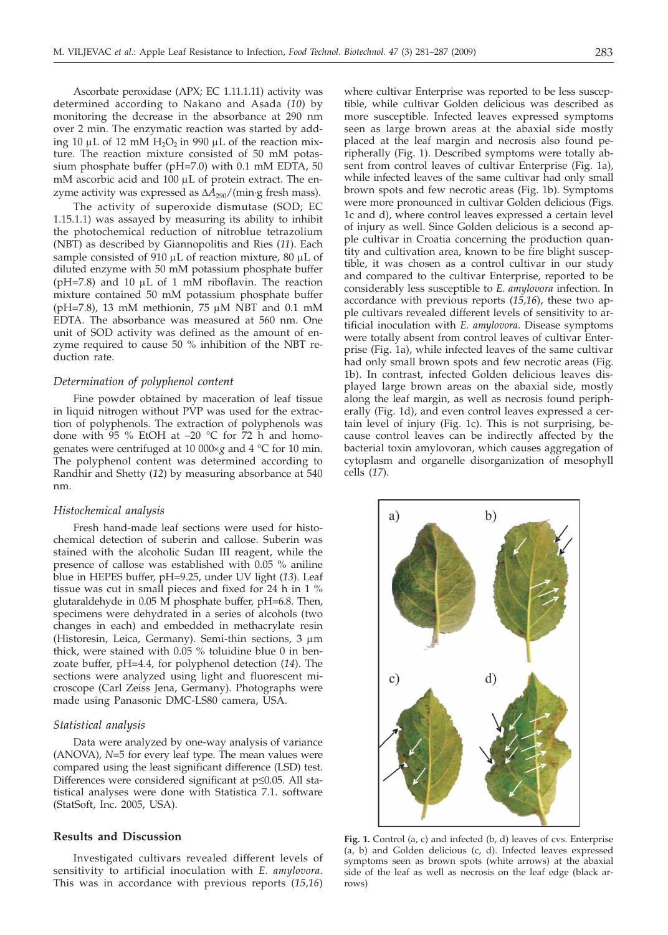Ascorbate peroxidase (APX; EC 1.11.1.11) activity was determined according to Nakano and Asada (*10*) by monitoring the decrease in the absorbance at 290 nm over 2 min. The enzymatic reaction was started by adding 10  $\mu$ L of 12 mM H<sub>2</sub>O<sub>2</sub> in 990  $\mu$ L of the reaction mixture. The reaction mixture consisted of 50 mM potassium phosphate buffer (pH=7.0) with 0.1 mM EDTA, 50  $m$ M ascorbic acid and  $100 \mu$ L of protein extract. The enzyme activity was expressed as  $\Delta A_{290} / ($ min·g fresh mass).

The activity of superoxide dismutase (SOD; EC 1.15.1.1) was assayed by measuring its ability to inhibit the photochemical reduction of nitroblue tetrazolium (NBT) as described by Giannopolitis and Ries (*11*). Each sample consisted of 910  $\mu$ L of reaction mixture, 80  $\mu$ L of diluted enzyme with 50 mM potassium phosphate buffer ( $pH=7.8$ ) and 10  $\mu$ L of 1 mM riboflavin. The reaction mixture contained 50 mM potassium phosphate buffer (pH=7.8), 13 mM methionin, 75  $\mu$ M NBT and 0.1 mM EDTA. The absorbance was measured at 560 nm. One unit of SOD activity was defined as the amount of enzyme required to cause 50 % inhibition of the NBT reduction rate.

#### *Determination of polyphenol content*

Fine powder obtained by maceration of leaf tissue in liquid nitrogen without PVP was used for the extraction of polyphenols. The extraction of polyphenols was done with 95 % EtOH at –20 °C for 72 h and homogenates were centrifuged at 10 000×g and 4 °C for 10 min. The polyphenol content was determined according to Randhir and Shetty (*12*) by measuring absorbance at 540 nm.

#### *Histochemical analysis*

Fresh hand-made leaf sections were used for histochemical detection of suberin and callose. Suberin was stained with the alcoholic Sudan III reagent, while the presence of callose was established with 0.05 % aniline blue in HEPES buffer, pH=9.25, under UV light (*13*). Leaf tissue was cut in small pieces and fixed for 24 h in 1 % glutaraldehyde in  $0.05 \text{ M}$  phosphate buffer, pH=6.8. Then, specimens were dehydrated in a series of alcohols (two changes in each) and embedded in methacrylate resin (Historesin, Leica, Germany). Semi-thin sections, 3  $\mu$ m thick, were stained with 0.05 % toluidine blue 0 in benzoate buffer, pH=4.4, for polyphenol detection (*14*). The sections were analyzed using light and fluorescent microscope (Carl Zeiss Jena, Germany). Photographs were made using Panasonic DMC-LS80 camera, USA.

#### *Statistical analysis*

Data were analyzed by one-way analysis of variance (ANOVA), *N*=5 for every leaf type. The mean values were compared using the least significant difference (LSD) test. Differences were considered significant at  $p \leq 0.05$ . All statistical analyses were done with Statistica 7.1. software (StatSoft, Inc. 2005, USA).

# **Results and Discussion**

Investigated cultivars revealed different levels of sensitivity to artificial inoculation with *E. amylovora*. This was in accordance with previous reports (*15,16*)

where cultivar Enterprise was reported to be less susceptible, while cultivar Golden delicious was described as more susceptible. Infected leaves expressed symptoms seen as large brown areas at the abaxial side mostly placed at the leaf margin and necrosis also found peripherally (Fig. 1). Described symptoms were totally absent from control leaves of cultivar Enterprise (Fig. 1a), while infected leaves of the same cultivar had only small brown spots and few necrotic areas (Fig. 1b). Symptoms were more pronounced in cultivar Golden delicious (Figs. 1c and d), where control leaves expressed a certain level of injury as well. Since Golden delicious is a second apple cultivar in Croatia concerning the production quantity and cultivation area, known to be fire blight susceptible, it was chosen as a control cultivar in our study and compared to the cultivar Enterprise, reported to be considerably less susceptible to *E. amylovora* infection. In accordance with previous reports (*15,16*), these two apple cultivars revealed different levels of sensitivity to artificial inoculation with *E. amylovora*. Disease symptoms were totally absent from control leaves of cultivar Enterprise (Fig. 1a), while infected leaves of the same cultivar had only small brown spots and few necrotic areas (Fig. 1b). In contrast, infected Golden delicious leaves displayed large brown areas on the abaxial side, mostly along the leaf margin, as well as necrosis found peripherally (Fig. 1d), and even control leaves expressed a certain level of injury (Fig. 1c). This is not surprising, because control leaves can be indirectly affected by the bacterial toxin amylovoran, which causes aggregation of cytoplasm and organelle disorganization of mesophyll cells (*17*).



**Fig. 1.** Control (a, c) and infected (b, d) leaves of cvs. Enterprise (a, b) and Golden delicious (c, d). Infected leaves expressed symptoms seen as brown spots (white arrows) at the abaxial side of the leaf as well as necrosis on the leaf edge (black arrows)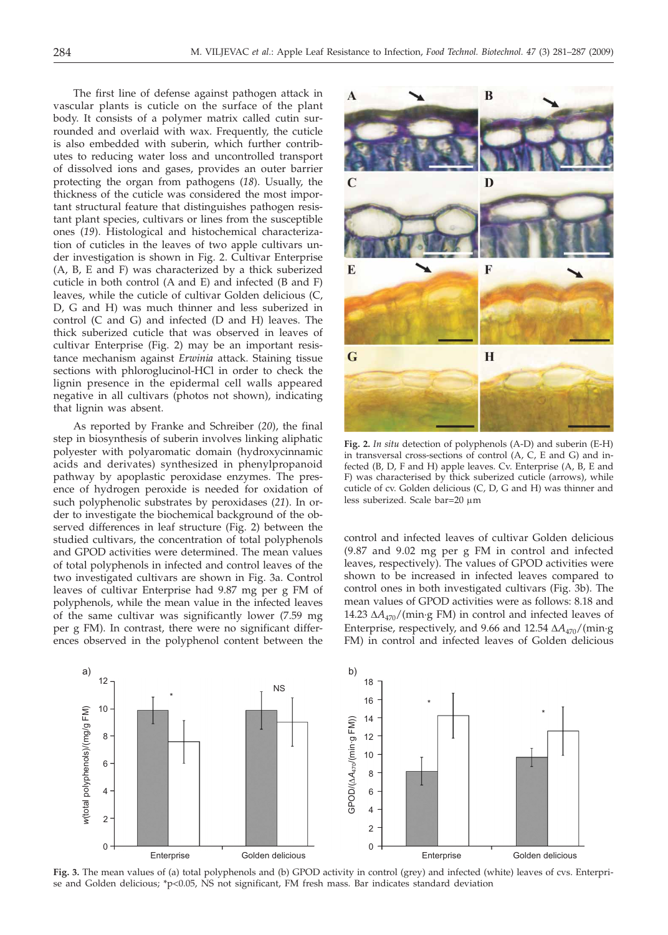The first line of defense against pathogen attack in vascular plants is cuticle on the surface of the plant body. It consists of a polymer matrix called cutin surrounded and overlaid with wax. Frequently, the cuticle is also embedded with suberin, which further contributes to reducing water loss and uncontrolled transport of dissolved ions and gases, provides an outer barrier protecting the organ from pathogens (*18*). Usually, the thickness of the cuticle was considered the most important structural feature that distinguishes pathogen resistant plant species, cultivars or lines from the susceptible ones (*19*). Histological and histochemical characterization of cuticles in the leaves of two apple cultivars under investigation is shown in Fig. 2. Cultivar Enterprise (A, B, E and F) was characterized by a thick suberized cuticle in both control (A and E) and infected (B and F) leaves, while the cuticle of cultivar Golden delicious (C, D, G and H) was much thinner and less suberized in control (C and G) and infected (D and H) leaves. The thick suberized cuticle that was observed in leaves of cultivar Enterprise (Fig. 2) may be an important resistance mechanism against *Erwinia* attack. Staining tissue sections with phloroglucinol-HCl in order to check the lignin presence in the epidermal cell walls appeared negative in all cultivars (photos not shown), indicating that lignin was absent.

As reported by Franke and Schreiber (*20*), the final step in biosynthesis of suberin involves linking aliphatic polyester with polyaromatic domain (hydroxycinnamic acids and derivates) synthesized in phenylpropanoid pathway by apoplastic peroxidase enzymes. The presence of hydrogen peroxide is needed for oxidation of such polyphenolic substrates by peroxidases (*21*). In order to investigate the biochemical background of the observed differences in leaf structure (Fig. 2) between the studied cultivars, the concentration of total polyphenols and GPOD activities were determined. The mean values of total polyphenols in infected and control leaves of the two investigated cultivars are shown in Fig. 3a. Control leaves of cultivar Enterprise had 9.87 mg per g FM of polyphenols, while the mean value in the infected leaves of the same cultivar was significantly lower (7.59 mg per g FM). In contrast, there were no significant differences observed in the polyphenol content between the



**Fig. 2.** *In situ* detection of polyphenols (A-D) and suberin (E-H) in transversal cross-sections of control (A, C, E and G) and infected (B, D, F and H) apple leaves. Cv. Enterprise (A, B, E and F) was characterised by thick suberized cuticle (arrows), while cuticle of cv. Golden delicious (C, D, G and H) was thinner and less suberized. Scale bar=20  $\mu$ m

control and infected leaves of cultivar Golden delicious (9.87 and 9.02 mg per g FM in control and infected leaves, respectively). The values of GPOD activities were shown to be increased in infected leaves compared to control ones in both investigated cultivars (Fig. 3b). The mean values of GPOD activities were as follows: 8.18 and 14.23  $\Delta A_{470}$ /(min·g FM) in control and infected leaves of Enterprise, respectively, and 9.66 and 12.54  $\Delta A_{470} / ($ min·g FM) in control and infected leaves of Golden delicious



**Fig. 3.** The mean values of (a) total polyphenols and (b) GPOD activity in control (grey) and infected (white) leaves of cvs. Enterprise and Golden delicious; \*p<0.05, NS not significant, FM fresh mass. Bar indicates standard deviation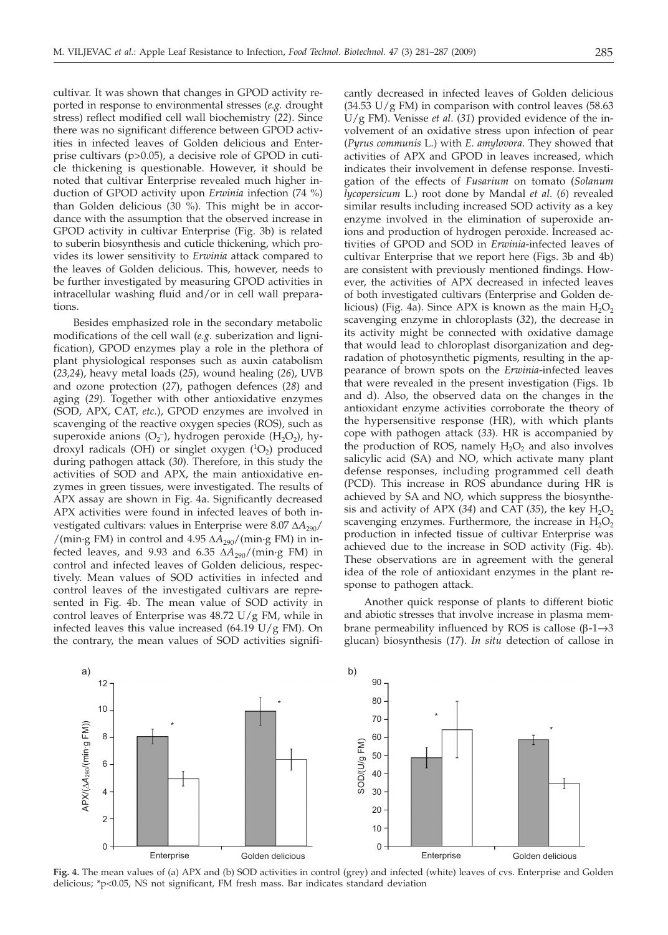cultivar. It was shown that changes in GPOD activity reported in response to environmental stresses (*e.g.* drought stress) reflect modified cell wall biochemistry (*22*). Since there was no significant difference between GPOD activities in infected leaves of Golden delicious and Enterprise cultivars (p>0.05), a decisive role of GPOD in cuticle thickening is questionable. However, it should be noted that cultivar Enterprise revealed much higher induction of GPOD activity upon *Erwinia* infection (74 %) than Golden delicious (30 %). This might be in accordance with the assumption that the observed increase in GPOD activity in cultivar Enterprise (Fig. 3b) is related to suberin biosynthesis and cuticle thickening, which provides its lower sensitivity to *Erwinia* attack compared to the leaves of Golden delicious. This, however, needs to be further investigated by measuring GPOD activities in intracellular washing fluid and/or in cell wall preparations.

Besides emphasized role in the secondary metabolic modifications of the cell wall (*e.g.* suberization and lignification), GPOD enzymes play a role in the plethora of plant physiological responses such as auxin catabolism (*23,24*), heavy metal loads (*25*), wound healing (*26*), UVB and ozone protection (*27*), pathogen defences (*28*) and aging (*29*). Together with other antioxidative enzymes (SOD, APX, CAT, *etc.*), GPOD enzymes are involved in scavenging of the reactive oxygen species (ROS), such as superoxide anions  $(O_2^-)$ , hydrogen peroxide  $(H_2O_2)$ , hydroxyl radicals (OH) or singlet oxygen  $(^{1}O_{2})$  produced during pathogen attack (*30*). Therefore, in this study the activities of SOD and APX, the main antioxidative enzymes in green tissues, were investigated. The results of APX assay are shown in Fig. 4a. Significantly decreased APX activities were found in infected leaves of both investigated cultivars: values in Enterprise were  $8.07 \Delta A_{290}/$ /(min·g FM) in control and  $4.95 \Delta A_{290}$ /(min·g FM) in infected leaves, and 9.93 and 6.35  $\Delta A_{290} / ($ min·g FM) in control and infected leaves of Golden delicious, respectively. Mean values of SOD activities in infected and control leaves of the investigated cultivars are represented in Fig. 4b. The mean value of SOD activity in control leaves of Enterprise was 48.72 U/g FM, while in infected leaves this value increased (64.19 U/g FM). On the contrary, the mean values of SOD activities signifi-

cantly decreased in infected leaves of Golden delicious  $(34.53 \text{ U/g FM})$  in comparison with control leaves  $(58.63 \text{ m})$ U/g FM). Venisse *et al*. (*31*) provided evidence of the involvement of an oxidative stress upon infection of pear (*Pyrus communis* L.) with *E. amylovora*. They showed that activities of APX and GPOD in leaves increased, which indicates their involvement in defense response. Investigation of the effects of *Fusarium* on tomato (*Solanum lycopersicum* L.) root done by Mandal *et al*. (*6*) revealed similar results including increased SOD activity as a key enzyme involved in the elimination of superoxide anions and production of hydrogen peroxide. Increased activities of GPOD and SOD in *Erwinia*-infected leaves of cultivar Enterprise that we report here (Figs. 3b and 4b) are consistent with previously mentioned findings. However, the activities of APX decreased in infected leaves of both investigated cultivars (Enterprise and Golden delicious) (Fig. 4a). Since APX is known as the main  $H_2O_2$ scavenging enzyme in chloroplasts (*32*), the decrease in its activity might be connected with oxidative damage that would lead to chloroplast disorganization and degradation of photosynthetic pigments, resulting in the appearance of brown spots on the *Erwinia*-infected leaves that were revealed in the present investigation (Figs. 1b and d). Also, the observed data on the changes in the antioxidant enzyme activities corroborate the theory of the hypersensitive response (HR), with which plants cope with pathogen attack (*33*). HR is accompanied by the production of ROS, namely  $H_2O_2$  and also involves salicylic acid (SA) and NO, which activate many plant defense responses, including programmed cell death (PCD). This increase in ROS abundance during HR is achieved by SA and NO, which suppress the biosynthesis and activity of APX (34) and CAT (35), the key  $H_2O_2$ scavenging enzymes. Furthermore, the increase in  $H_2O_2$ production in infected tissue of cultivar Enterprise was achieved due to the increase in SOD activity (Fig. 4b). These observations are in agreement with the general idea of the role of antioxidant enzymes in the plant response to pathogen attack.

Another quick response of plants to different biotic and abiotic stresses that involve increase in plasma membrane permeability influenced by ROS is callose  $(\beta$ -1 $\rightarrow$ 3 glucan) biosynthesis (*17*). *In situ* detection of callose in



**Fig. 4.** The mean values of (a) APX and (b) SOD activities in control (grey) and infected (white) leaves of cvs. Enterprise and Golden delicious; \*p<0.05, NS not significant, FM fresh mass. Bar indicates standard deviation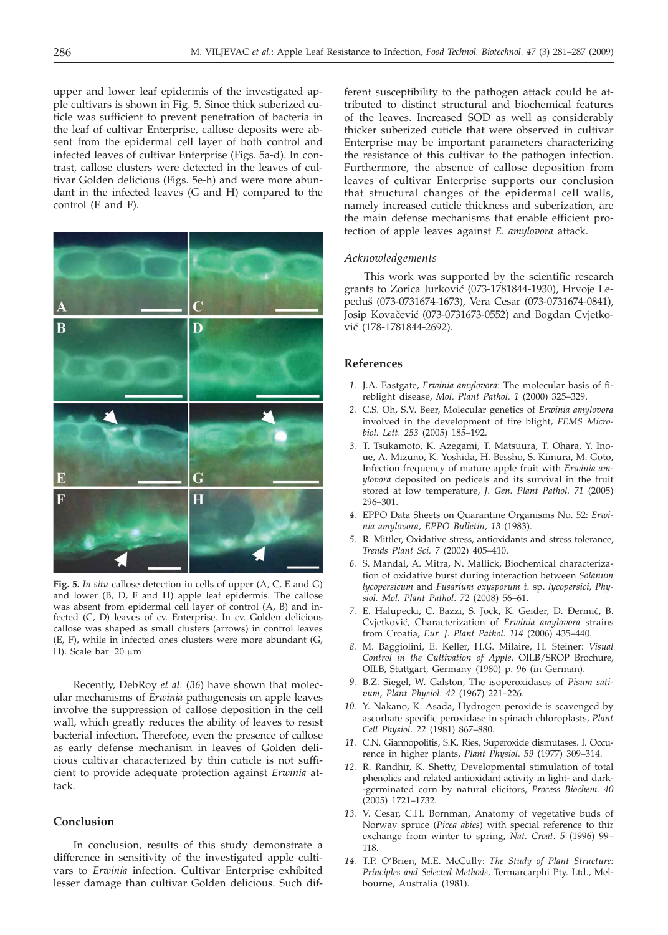upper and lower leaf epidermis of the investigated apple cultivars is shown in Fig. 5. Since thick suberized cuticle was sufficient to prevent penetration of bacteria in the leaf of cultivar Enterprise, callose deposits were absent from the epidermal cell layer of both control and infected leaves of cultivar Enterprise (Figs. 5a-d). In contrast, callose clusters were detected in the leaves of cultivar Golden delicious (Figs. 5e-h) and were more abundant in the infected leaves (G and H) compared to the control (E and F).



**Fig. 5.** *In situ* callose detection in cells of upper (A, C, E and G) and lower (B, D, F and H) apple leaf epidermis. The callose was absent from epidermal cell layer of control (A, B) and infected (C, D) leaves of cv. Enterprise. In cv. Golden delicious callose was shaped as small clusters (arrows) in control leaves (E, F), while in infected ones clusters were more abundant (G, H). Scale bar=20  $\mu$ m

Recently, DebRoy *et al.* (*36*) have shown that molecular mechanisms of *Erwinia* pathogenesis on apple leaves involve the suppression of callose deposition in the cell wall, which greatly reduces the ability of leaves to resist bacterial infection. Therefore, even the presence of callose as early defense mechanism in leaves of Golden delicious cultivar characterized by thin cuticle is not sufficient to provide adequate protection against *Erwinia* attack.

# **Conclusion**

In conclusion, results of this study demonstrate a difference in sensitivity of the investigated apple cultivars to *Erwinia* infection. Cultivar Enterprise exhibited lesser damage than cultivar Golden delicious. Such dif-

ferent susceptibility to the pathogen attack could be attributed to distinct structural and biochemical features of the leaves. Increased SOD as well as considerably thicker suberized cuticle that were observed in cultivar Enterprise may be important parameters characterizing the resistance of this cultivar to the pathogen infection. Furthermore, the absence of callose deposition from leaves of cultivar Enterprise supports our conclusion that structural changes of the epidermal cell walls, namely increased cuticle thickness and suberization, are the main defense mechanisms that enable efficient protection of apple leaves against *E. amylovora* attack.

## *Acknowledgements*

This work was supported by the scientific research grants to Zorica Jurković (073-1781844-1930), Hrvoje Lepedu{ (073-0731674-1673), Vera Cesar (073-0731674-0841), Josip Kovačević (073-0731673-0552) and Bogdan Cvjetković (178-1781844-2692).

#### **References**

- *1.* J.A. Eastgate, *Erwinia amylovora*: The molecular basis of fireblight disease, *Mol. Plant Pathol. 1* (2000) 325–329.
- *2.* C.S. Oh, S.V. Beer, Molecular genetics of *Erwinia amylovora* involved in the development of fire blight, *FEMS Microbiol. Lett. 253* (2005) 185–192.
- *3.* T. Tsukamoto, K. Azegami, T. Matsuura, T. Ohara, Y. Inoue, A. Mizuno, K. Yoshida, H. Bessho, S. Kimura, M. Goto, Infection frequency of mature apple fruit with *Erwinia amylovora* deposited on pedicels and its survival in the fruit stored at low temperature, *J. Gen. Plant Pathol. 71* (2005) 296–301.
- *4.* EPPO Data Sheets on Quarantine Organisms No. 52: *Erwinia amylovora*, *EPPO Bulletin, 13* (1983).
- *5.* R. Mittler, Oxidative stress, antioxidants and stress tolerance, *Trends Plant Sci. 7* (2002) 405–410.
- *6.* S. Mandal, A. Mitra, N. Mallick, Biochemical characterization of oxidative burst during interaction between *Solanum lycopersicum* and *Fusarium oxysporum* f. sp. *lycopersici, Physiol. Mol. Plant Pathol*. *72* (2008) 56–61.
- 7. E. Halupecki, C. Bazzi, S. Jock, K. Geider, D. Đermić, B. Cvjetkovi}, Characterization of *Erwinia amylovora* strains from Croatia*, Eur. J. Plant Pathol. 114* (2006) 435–440.
- *8.* M. Baggiolini, E. Keller, H.G. Milaire, H. Steiner: *Visual Control in the Cultivation of Apple*, OILB/SROP Brochure, OILB, Stuttgart, Germany (1980) p. 96 (in German).
- *9.* B.Z. Siegel, W. Galston, The isoperoxidases of *Pisum sativum*, *Plant Physiol*. *42* (1967) 221–226.
- *10.* Y. Nakano, K. Asada, Hydrogen peroxide is scavenged by ascorbate specific peroxidase in spinach chloroplasts, *Plant Cell Physiol*. *22* (1981) 867–880.
- *11.* C.N. Giannopolitis, S.K. Ries, Superoxide dismutases. I. Occurence in higher plants, *Plant Physiol. 59* (1977) 309–314.
- *12.* R. Randhir, K. Shetty, Developmental stimulation of total phenolics and related antioxidant activity in light- and dark- -germinated corn by natural elicitors, *Process Biochem. 40* (2005) 1721–1732.
- *13.* V. Cesar, C.H. Bornman, Anatomy of vegetative buds of Norway spruce (*Picea abies*) with special reference to thir exchange from winter to spring, *Nat. Croat. 5* (1996) 99– 118.
- *14.* T.P. O'Brien, M.E. McCully: *The Study of Plant Structure: Principles and Selected Methods,* Termarcarphi Pty. Ltd., Melbourne, Australia (1981).